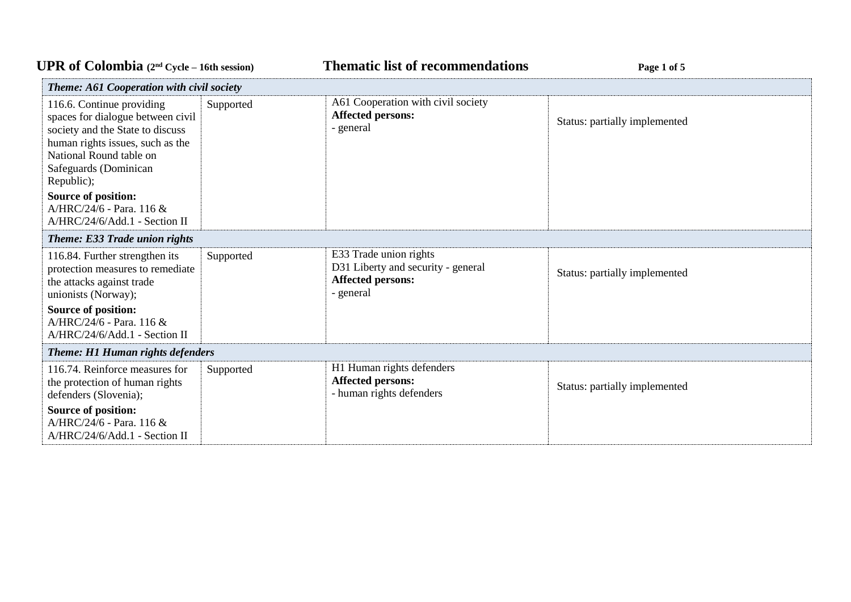## UPR of Colombia  $(2^{nd} \text{ Cycle} - 16th \text{ session})$  **Thematic list of recommendations Page 1** of 5

| <b>Theme: A61 Cooperation with civil society</b>                                                                                                                                                                                                                                             |           |                                                                                                       |                               |
|----------------------------------------------------------------------------------------------------------------------------------------------------------------------------------------------------------------------------------------------------------------------------------------------|-----------|-------------------------------------------------------------------------------------------------------|-------------------------------|
| 116.6. Continue providing<br>spaces for dialogue between civil<br>society and the State to discuss<br>human rights issues, such as the<br>National Round table on<br>Safeguards (Dominican<br>Republic);<br>Source of position:<br>A/HRC/24/6 - Para. 116 &<br>A/HRC/24/6/Add.1 - Section II | Supported | A61 Cooperation with civil society<br><b>Affected persons:</b><br>- general                           | Status: partially implemented |
| Theme: E33 Trade union rights<br>116.84. Further strengthen its<br>protection measures to remediate<br>the attacks against trade<br>unionists (Norway);<br>Source of position:<br>A/HRC/24/6 - Para, 116 &<br>A/HRC/24/6/Add.1 - Section II                                                  | Supported | E33 Trade union rights<br>D31 Liberty and security - general<br><b>Affected persons:</b><br>- general | Status: partially implemented |
| <b>Theme: H1 Human rights defenders</b>                                                                                                                                                                                                                                                      |           |                                                                                                       |                               |
| 116.74. Reinforce measures for<br>the protection of human rights<br>defenders (Slovenia);<br>Source of position:<br>A/HRC/24/6 - Para, 116 &<br>A/HRC/24/6/Add.1 - Section II                                                                                                                | Supported | H1 Human rights defenders<br><b>Affected persons:</b><br>- human rights defenders                     | Status: partially implemented |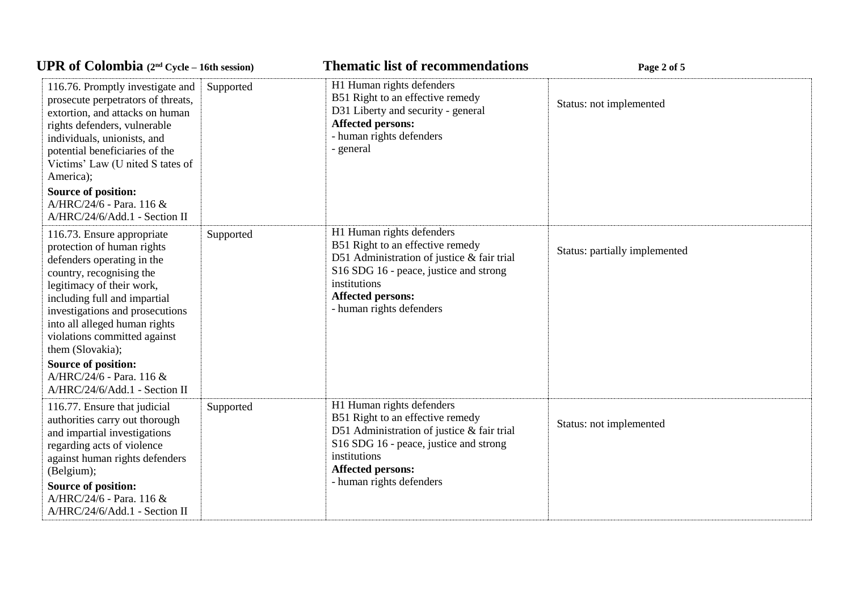| <b>UPR</b> of Colombia $(2^{nd}$ Cycle – 16th session)                                                                                                                                                                                                                                                  |           | <b>Thematic list of recommendations</b>                                                                                                                                                                                       | Page 2 of 5                   |  |
|---------------------------------------------------------------------------------------------------------------------------------------------------------------------------------------------------------------------------------------------------------------------------------------------------------|-----------|-------------------------------------------------------------------------------------------------------------------------------------------------------------------------------------------------------------------------------|-------------------------------|--|
| 116.76. Promptly investigate and<br>prosecute perpetrators of threats,<br>extortion, and attacks on human<br>rights defenders, vulnerable<br>individuals, unionists, and<br>potential beneficiaries of the<br>Victims' Law (U nited S tates of<br>America);<br><b>Source of position:</b>               | Supported | H1 Human rights defenders<br>B51 Right to an effective remedy<br>D31 Liberty and security - general<br><b>Affected persons:</b><br>- human rights defenders<br>- general                                                      | Status: not implemented       |  |
| A/HRC/24/6 - Para. 116 &<br>A/HRC/24/6/Add.1 - Section II                                                                                                                                                                                                                                               |           |                                                                                                                                                                                                                               |                               |  |
| 116.73. Ensure appropriate<br>protection of human rights<br>defenders operating in the<br>country, recognising the<br>legitimacy of their work,<br>including full and impartial<br>investigations and prosecutions<br>into all alleged human rights<br>violations committed against<br>them (Slovakia); | Supported | H1 Human rights defenders<br>B51 Right to an effective remedy<br>D51 Administration of justice & fair trial<br>S16 SDG 16 - peace, justice and strong<br>institutions<br><b>Affected persons:</b><br>- human rights defenders | Status: partially implemented |  |
| <b>Source of position:</b><br>A/HRC/24/6 - Para. 116 &<br>A/HRC/24/6/Add.1 - Section II                                                                                                                                                                                                                 |           |                                                                                                                                                                                                                               |                               |  |
| 116.77. Ensure that judicial<br>authorities carry out thorough<br>and impartial investigations<br>regarding acts of violence<br>against human rights defenders<br>(Belgium);<br><b>Source of position:</b><br>A/HRC/24/6 - Para. 116 &<br>A/HRC/24/6/Add.1 - Section II                                 | Supported | H1 Human rights defenders<br>B51 Right to an effective remedy<br>D51 Administration of justice & fair trial<br>S16 SDG 16 - peace, justice and strong<br>institutions<br><b>Affected persons:</b><br>- human rights defenders | Status: not implemented       |  |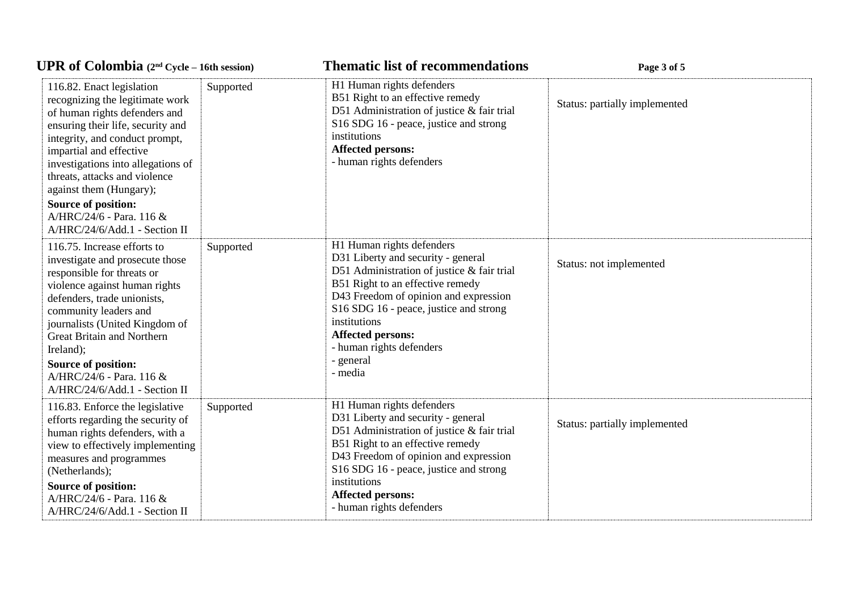| <b>UPR of Colombia</b> $(2^{nd}$ Cycle – 16th session)                                                                                                                                                                                                                                                                                                        |           | <b>Thematic list of recommendations</b>                                                                                                                                                                                                                                                                                              | Page 3 of 5                   |
|---------------------------------------------------------------------------------------------------------------------------------------------------------------------------------------------------------------------------------------------------------------------------------------------------------------------------------------------------------------|-----------|--------------------------------------------------------------------------------------------------------------------------------------------------------------------------------------------------------------------------------------------------------------------------------------------------------------------------------------|-------------------------------|
| 116.82. Enact legislation<br>recognizing the legitimate work<br>of human rights defenders and<br>ensuring their life, security and<br>integrity, and conduct prompt,<br>impartial and effective<br>investigations into allegations of<br>threats, attacks and violence<br>against them (Hungary);                                                             | Supported | H1 Human rights defenders<br>B51 Right to an effective remedy<br>D51 Administration of justice & fair trial<br>S16 SDG 16 - peace, justice and strong<br>institutions<br><b>Affected persons:</b><br>- human rights defenders                                                                                                        | Status: partially implemented |
| Source of position:<br>A/HRC/24/6 - Para. 116 &<br>A/HRC/24/6/Add.1 - Section II                                                                                                                                                                                                                                                                              |           |                                                                                                                                                                                                                                                                                                                                      |                               |
| 116.75. Increase efforts to<br>investigate and prosecute those<br>responsible for threats or<br>violence against human rights<br>defenders, trade unionists,<br>community leaders and<br>journalists (United Kingdom of<br><b>Great Britain and Northern</b><br>Ireland);<br>Source of position:<br>A/HRC/24/6 - Para. 116 &<br>A/HRC/24/6/Add.1 - Section II | Supported | H1 Human rights defenders<br>D31 Liberty and security - general<br>D51 Administration of justice & fair trial<br>B51 Right to an effective remedy<br>D43 Freedom of opinion and expression<br>S16 SDG 16 - peace, justice and strong<br>institutions<br><b>Affected persons:</b><br>- human rights defenders<br>- general<br>- media | Status: not implemented       |
| 116.83. Enforce the legislative<br>efforts regarding the security of<br>human rights defenders, with a<br>view to effectively implementing<br>measures and programmes<br>(Netherlands);<br><b>Source of position:</b><br>A/HRC/24/6 - Para. 116 &<br>A/HRC/24/6/Add.1 - Section II                                                                            | Supported | H1 Human rights defenders<br>D31 Liberty and security - general<br>D51 Administration of justice & fair trial<br>B51 Right to an effective remedy<br>D43 Freedom of opinion and expression<br>S16 SDG 16 - peace, justice and strong<br>institutions<br><b>Affected persons:</b><br>- human rights defenders                         | Status: partially implemented |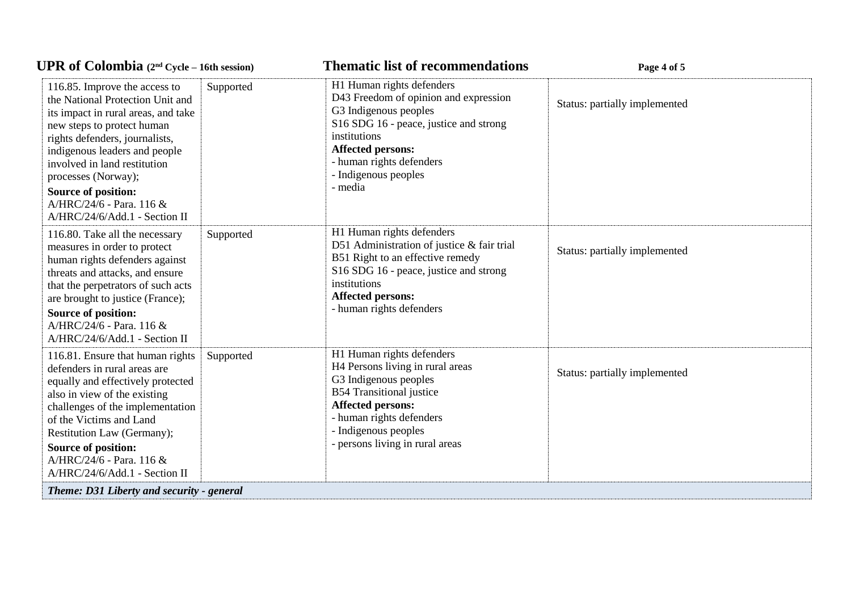| <b>UPR</b> of Colombia $(2^{nd}$ Cycle – 16th session)                                                                                                                                                                                                                                                                                               |           | <b>Thematic list of recommendations</b>                                                                                                                                                                                                          | Page 4 of 5                   |
|------------------------------------------------------------------------------------------------------------------------------------------------------------------------------------------------------------------------------------------------------------------------------------------------------------------------------------------------------|-----------|--------------------------------------------------------------------------------------------------------------------------------------------------------------------------------------------------------------------------------------------------|-------------------------------|
| 116.85. Improve the access to<br>the National Protection Unit and<br>its impact in rural areas, and take<br>new steps to protect human<br>rights defenders, journalists,<br>indigenous leaders and people<br>involved in land restitution<br>processes (Norway);<br>Source of position:<br>A/HRC/24/6 - Para. 116 &<br>A/HRC/24/6/Add.1 - Section II | Supported | H1 Human rights defenders<br>D43 Freedom of opinion and expression<br>G3 Indigenous peoples<br>S16 SDG 16 - peace, justice and strong<br>institutions<br><b>Affected persons:</b><br>- human rights defenders<br>- Indigenous peoples<br>- media | Status: partially implemented |
| 116.80. Take all the necessary<br>measures in order to protect<br>human rights defenders against<br>threats and attacks, and ensure<br>that the perpetrators of such acts<br>are brought to justice (France);<br>Source of position:<br>A/HRC/24/6 - Para. 116 &<br>A/HRC/24/6/Add.1 - Section II                                                    | Supported | H1 Human rights defenders<br>D51 Administration of justice & fair trial<br>B51 Right to an effective remedy<br>S16 SDG 16 - peace, justice and strong<br>institutions<br><b>Affected persons:</b><br>- human rights defenders                    | Status: partially implemented |
| 116.81. Ensure that human rights<br>defenders in rural areas are<br>equally and effectively protected<br>also in view of the existing<br>challenges of the implementation<br>of the Victims and Land<br>Restitution Law (Germany);<br>Source of position:<br>A/HRC/24/6 - Para. 116 &<br>A/HRC/24/6/Add.1 - Section II                               | Supported | H1 Human rights defenders<br>H4 Persons living in rural areas<br>G3 Indigenous peoples<br><b>B54 Transitional justice</b><br><b>Affected persons:</b><br>- human rights defenders<br>- Indigenous peoples<br>- persons living in rural areas     | Status: partially implemented |
| Theme: D31 Liberty and security - general                                                                                                                                                                                                                                                                                                            |           |                                                                                                                                                                                                                                                  |                               |